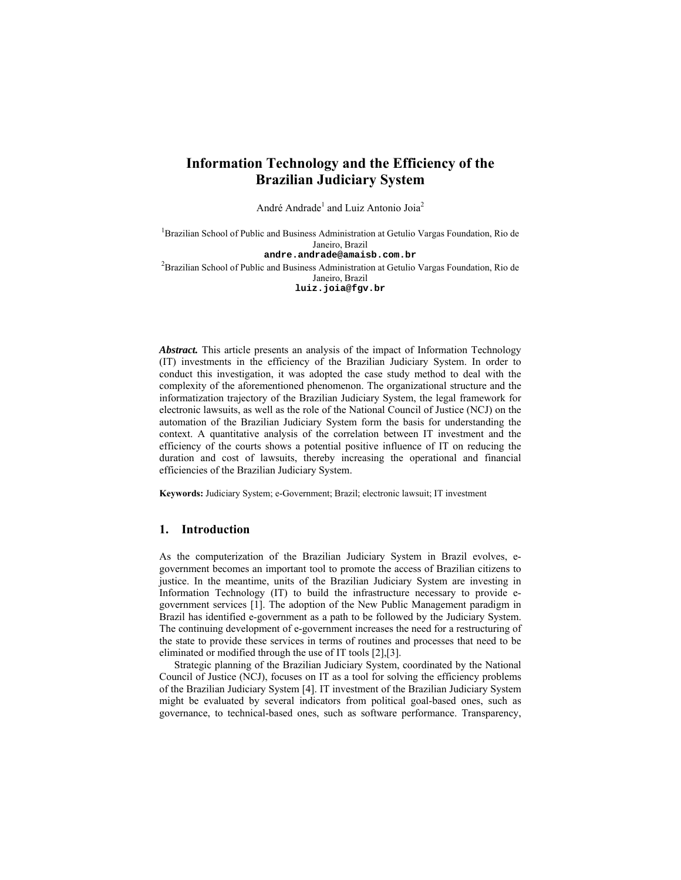# **Information Technology and the Efficiency of the Brazilian Judiciary System**

André Andrade<sup>1</sup> and Luiz Antonio Joia<sup>2</sup>

<sup>1</sup>Brazilian School of Public and Business Administration at Getulio Vargas Foundation, Rio de Janeiro, Brazil **andre.andrade@amaisb.com.br**<br><sup>2</sup>Brazilian School of Public and Business Administration at Getulio Vargas Foundation, Rio de Janeiro, Brazil

**luiz.joia@fgv.br**

*Abstract.* This article presents an analysis of the impact of Information Technology (IT) investments in the efficiency of the Brazilian Judiciary System. In order to conduct this investigation, it was adopted the case study method to deal with the complexity of the aforementioned phenomenon. The organizational structure and the informatization trajectory of the Brazilian Judiciary System, the legal framework for electronic lawsuits, as well as the role of the National Council of Justice (NCJ) on the automation of the Brazilian Judiciary System form the basis for understanding the context. A quantitative analysis of the correlation between IT investment and the efficiency of the courts shows a potential positive influence of IT on reducing the duration and cost of lawsuits, thereby increasing the operational and financial efficiencies of the Brazilian Judiciary System.

**Keywords:** Judiciary System; e-Government; Brazil; electronic lawsuit; IT investment

#### **1. Introduction**

As the computerization of the Brazilian Judiciary System in Brazil evolves, egovernment becomes an important tool to promote the access of Brazilian citizens to justice. In the meantime, units of the Brazilian Judiciary System are investing in Information Technology (IT) to build the infrastructure necessary to provide egovernment services [1]. The adoption of the New Public Management paradigm in Brazil has identified e-government as a path to be followed by the Judiciary System. The continuing development of e-government increases the need for a restructuring of the state to provide these services in terms of routines and processes that need to be eliminated or modified through the use of IT tools [2],[3].

Strategic planning of the Brazilian Judiciary System, coordinated by the National Council of Justice (NCJ), focuses on IT as a tool for solving the efficiency problems of the Brazilian Judiciary System [4]. IT investment of the Brazilian Judiciary System might be evaluated by several indicators from political goal-based ones, such as governance, to technical-based ones, such as software performance. Transparency,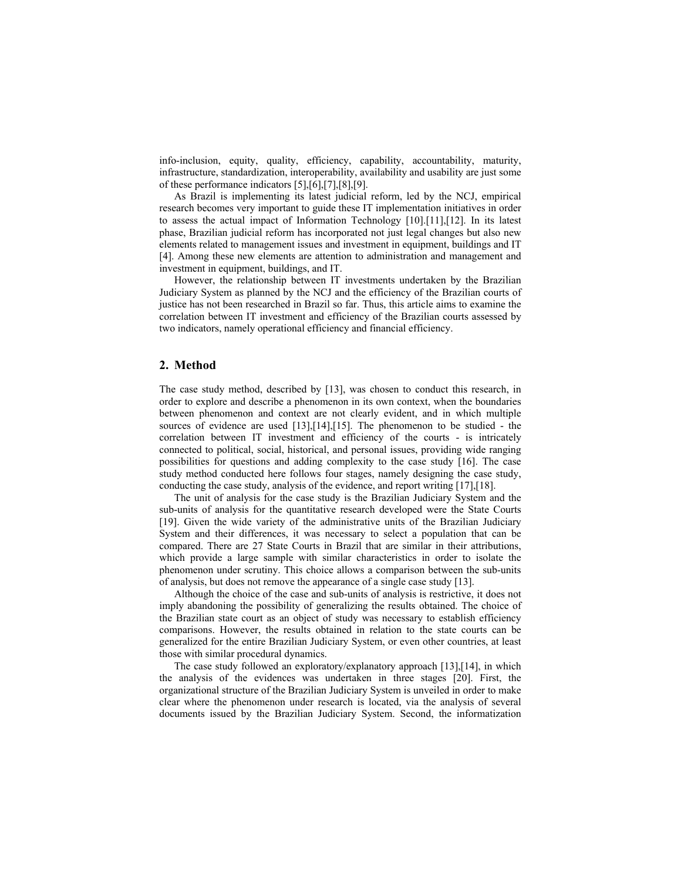info-inclusion, equity, quality, efficiency, capability, accountability, maturity, infrastructure, standardization, interoperability, availability and usability are just some of these performance indicators [5],[6],[7],[8],[9].

As Brazil is implementing its latest judicial reform, led by the NCJ, empirical research becomes very important to guide these IT implementation initiatives in order to assess the actual impact of Information Technology [10].[11],[12]. In its latest phase, Brazilian judicial reform has incorporated not just legal changes but also new elements related to management issues and investment in equipment, buildings and IT [4]. Among these new elements are attention to administration and management and investment in equipment, buildings, and IT.

However, the relationship between IT investments undertaken by the Brazilian Judiciary System as planned by the NCJ and the efficiency of the Brazilian courts of justice has not been researched in Brazil so far. Thus, this article aims to examine the correlation between IT investment and efficiency of the Brazilian courts assessed by two indicators, namely operational efficiency and financial efficiency.

### **2. Method**

The case study method, described by [13], was chosen to conduct this research, in order to explore and describe a phenomenon in its own context, when the boundaries between phenomenon and context are not clearly evident, and in which multiple sources of evidence are used [13],[14],[15]. The phenomenon to be studied - the correlation between IT investment and efficiency of the courts - is intricately connected to political, social, historical, and personal issues, providing wide ranging possibilities for questions and adding complexity to the case study [16]. The case study method conducted here follows four stages, namely designing the case study, conducting the case study, analysis of the evidence, and report writing [17],[18].

The unit of analysis for the case study is the Brazilian Judiciary System and the sub-units of analysis for the quantitative research developed were the State Courts [19]. Given the wide variety of the administrative units of the Brazilian Judiciary System and their differences, it was necessary to select a population that can be compared. There are 27 State Courts in Brazil that are similar in their attributions, which provide a large sample with similar characteristics in order to isolate the phenomenon under scrutiny. This choice allows a comparison between the sub-units of analysis, but does not remove the appearance of a single case study [13].

Although the choice of the case and sub-units of analysis is restrictive, it does not imply abandoning the possibility of generalizing the results obtained. The choice of the Brazilian state court as an object of study was necessary to establish efficiency comparisons. However, the results obtained in relation to the state courts can be generalized for the entire Brazilian Judiciary System, or even other countries, at least those with similar procedural dynamics.

The case study followed an exploratory/explanatory approach [13],[14], in which the analysis of the evidences was undertaken in three stages [20]. First, the organizational structure of the Brazilian Judiciary System is unveiled in order to make clear where the phenomenon under research is located, via the analysis of several documents issued by the Brazilian Judiciary System. Second, the informatization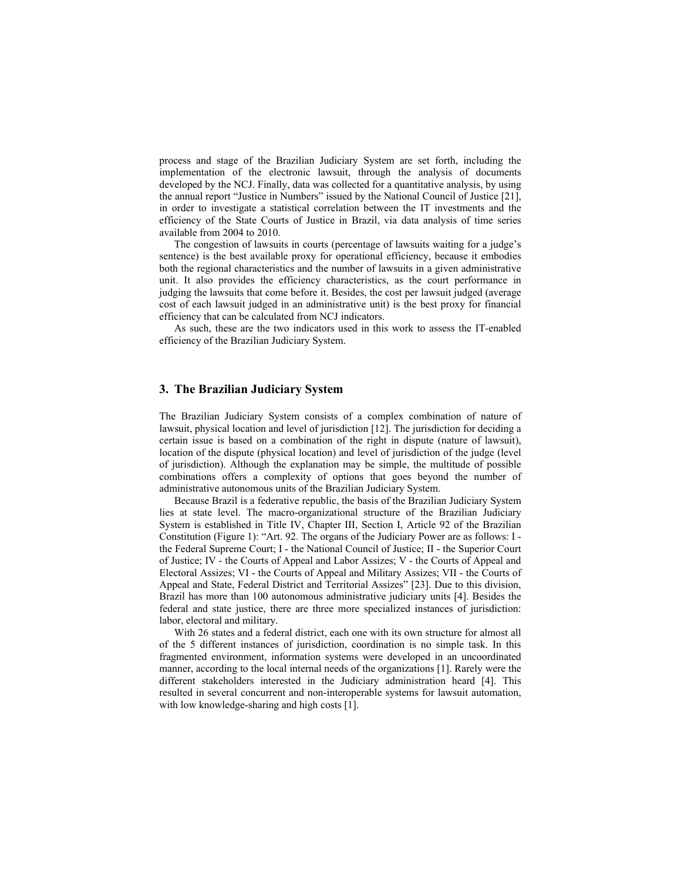process and stage of the Brazilian Judiciary System are set forth, including the implementation of the electronic lawsuit, through the analysis of documents developed by the NCJ. Finally, data was collected for a quantitative analysis, by using the annual report "Justice in Numbers" issued by the National Council of Justice [21], in order to investigate a statistical correlation between the IT investments and the efficiency of the State Courts of Justice in Brazil, via data analysis of time series available from 2004 to 2010.

The congestion of lawsuits in courts (percentage of lawsuits waiting for a judge's sentence) is the best available proxy for operational efficiency, because it embodies both the regional characteristics and the number of lawsuits in a given administrative unit. It also provides the efficiency characteristics, as the court performance in judging the lawsuits that come before it. Besides, the cost per lawsuit judged (average cost of each lawsuit judged in an administrative unit) is the best proxy for financial efficiency that can be calculated from NCJ indicators.

As such, these are the two indicators used in this work to assess the IT-enabled efficiency of the Brazilian Judiciary System.

#### **3. The Brazilian Judiciary System**

The Brazilian Judiciary System consists of a complex combination of nature of lawsuit, physical location and level of jurisdiction [12]. The jurisdiction for deciding a certain issue is based on a combination of the right in dispute (nature of lawsuit), location of the dispute (physical location) and level of jurisdiction of the judge (level of jurisdiction). Although the explanation may be simple, the multitude of possible combinations offers a complexity of options that goes beyond the number of administrative autonomous units of the Brazilian Judiciary System.

Because Brazil is a federative republic, the basis of the Brazilian Judiciary System lies at state level. The macro-organizational structure of the Brazilian Judiciary System is established in Title IV, Chapter III, Section I, Article 92 of the Brazilian Constitution (Figure 1): "Art. 92. The organs of the Judiciary Power are as follows: I the Federal Supreme Court; I - the National Council of Justice; II - the Superior Court of Justice; IV - the Courts of Appeal and Labor Assizes; V - the Courts of Appeal and Electoral Assizes; VI - the Courts of Appeal and Military Assizes; VII - the Courts of Appeal and State, Federal District and Territorial Assizes" [23]. Due to this division, Brazil has more than 100 autonomous administrative judiciary units [4]. Besides the federal and state justice, there are three more specialized instances of jurisdiction: labor, electoral and military.

With 26 states and a federal district, each one with its own structure for almost all of the 5 different instances of jurisdiction, coordination is no simple task. In this fragmented environment, information systems were developed in an uncoordinated manner, according to the local internal needs of the organizations [1]. Rarely were the different stakeholders interested in the Judiciary administration heard [4]. This resulted in several concurrent and non-interoperable systems for lawsuit automation, with low knowledge-sharing and high costs [1].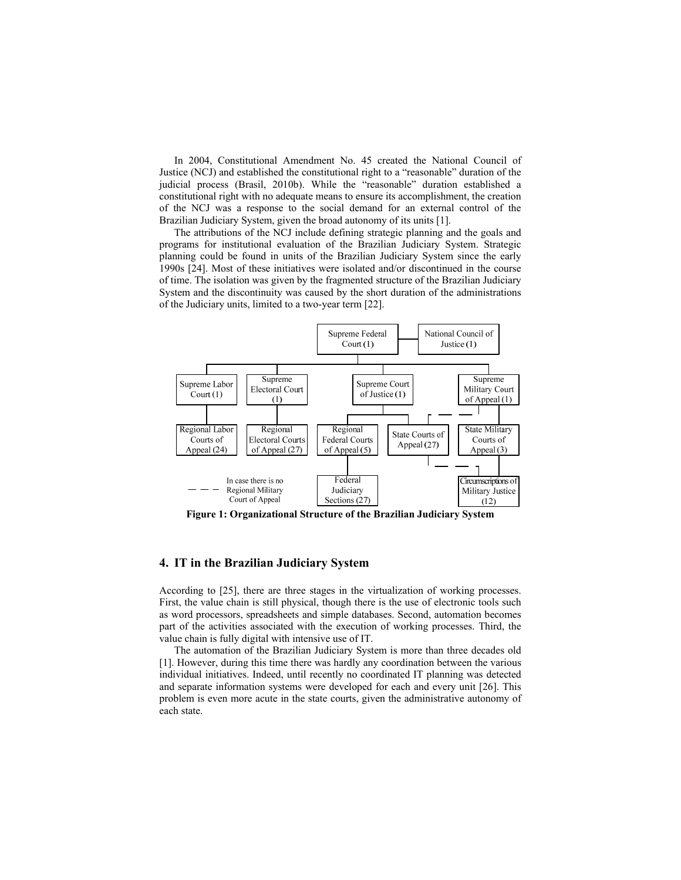In 2004, Constitutional Amendment No. 45 created the National Council of Justice (NCJ) and established the constitutional right to a "reasonable" duration of the judicial process (Brasil, 2010b). While the "reasonable" duration established a constitutional right with no adequate means to ensure its accomplishment, the creation of the NCJ was a response to the social demand for an external control of the Brazilian Judiciary System, given the broad autonomy of its units [1].

The attributions of the NCJ include defining strategic planning and the goals and programs for institutional evaluation of the Brazilian Judiciary System. Strategic planning could be found in units of the Brazilian Judiciary System since the early 1990s [24]. Most of these initiatives were isolated and/or discontinued in the course of time. The isolation was given by the fragmented structure of the Brazilian Judiciary System and the discontinuity was caused by the short duration of the administrations of the Judiciary units, limited to a two-year term [22].



**Figure 1: Organizational Structure of the Brazilian Judiciary System** 

## **4. IT in the Brazilian Judiciary System**

According to [25], there are three stages in the virtualization of working processes. First, the value chain is still physical, though there is the use of electronic tools such as word processors, spreadsheets and simple databases. Second, automation becomes part of the activities associated with the execution of working processes. Third, the value chain is fully digital with intensive use of IT.

The automation of the Brazilian Judiciary System is more than three decades old [1]. However, during this time there was hardly any coordination between the various individual initiatives. Indeed, until recently no coordinated IT planning was detected and separate information systems were developed for each and every unit [26]. This problem is even more acute in the state courts, given the administrative autonomy of each state.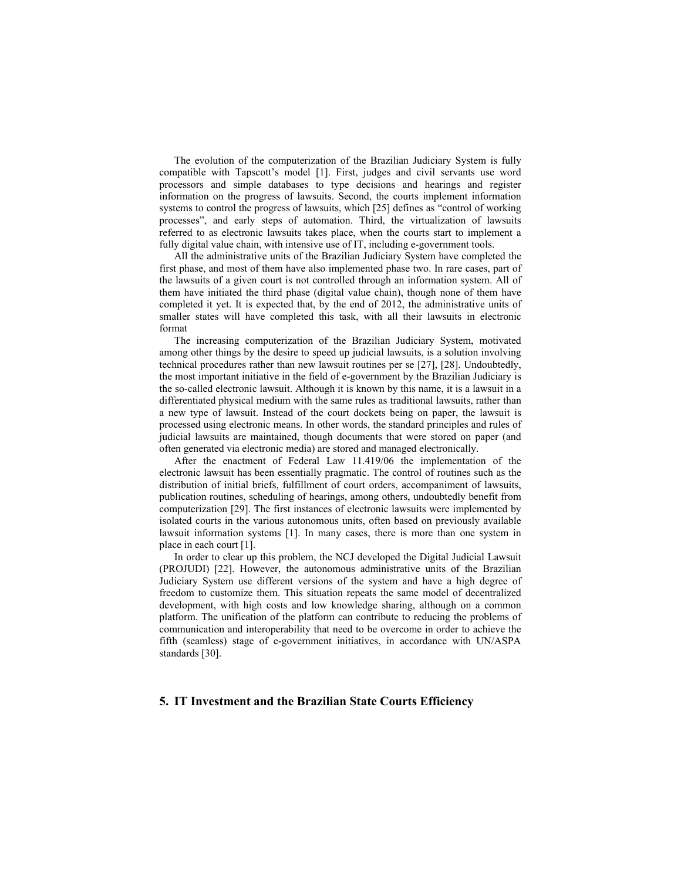The evolution of the computerization of the Brazilian Judiciary System is fully compatible with Tapscott's model [1]. First, judges and civil servants use word processors and simple databases to type decisions and hearings and register information on the progress of lawsuits. Second, the courts implement information systems to control the progress of lawsuits, which [25] defines as "control of working processes", and early steps of automation. Third, the virtualization of lawsuits referred to as electronic lawsuits takes place, when the courts start to implement a fully digital value chain, with intensive use of IT, including e-government tools.

All the administrative units of the Brazilian Judiciary System have completed the first phase, and most of them have also implemented phase two. In rare cases, part of the lawsuits of a given court is not controlled through an information system. All of them have initiated the third phase (digital value chain), though none of them have completed it yet. It is expected that, by the end of 2012, the administrative units of smaller states will have completed this task, with all their lawsuits in electronic format

The increasing computerization of the Brazilian Judiciary System, motivated among other things by the desire to speed up judicial lawsuits, is a solution involving technical procedures rather than new lawsuit routines per se [27], [28]. Undoubtedly, the most important initiative in the field of e-government by the Brazilian Judiciary is the so-called electronic lawsuit. Although it is known by this name, it is a lawsuit in a differentiated physical medium with the same rules as traditional lawsuits, rather than a new type of lawsuit. Instead of the court dockets being on paper, the lawsuit is processed using electronic means. In other words, the standard principles and rules of judicial lawsuits are maintained, though documents that were stored on paper (and often generated via electronic media) are stored and managed electronically.

After the enactment of Federal Law 11.419/06 the implementation of the electronic lawsuit has been essentially pragmatic. The control of routines such as the distribution of initial briefs, fulfillment of court orders, accompaniment of lawsuits, publication routines, scheduling of hearings, among others, undoubtedly benefit from computerization [29]. The first instances of electronic lawsuits were implemented by isolated courts in the various autonomous units, often based on previously available lawsuit information systems [1]. In many cases, there is more than one system in place in each court [1].

In order to clear up this problem, the NCJ developed the Digital Judicial Lawsuit (PROJUDI) [22]. However, the autonomous administrative units of the Brazilian Judiciary System use different versions of the system and have a high degree of freedom to customize them. This situation repeats the same model of decentralized development, with high costs and low knowledge sharing, although on a common platform. The unification of the platform can contribute to reducing the problems of communication and interoperability that need to be overcome in order to achieve the fifth (seamless) stage of e-government initiatives, in accordance with UN/ASPA standards [30].

#### **5. IT Investment and the Brazilian State Courts Efficiency**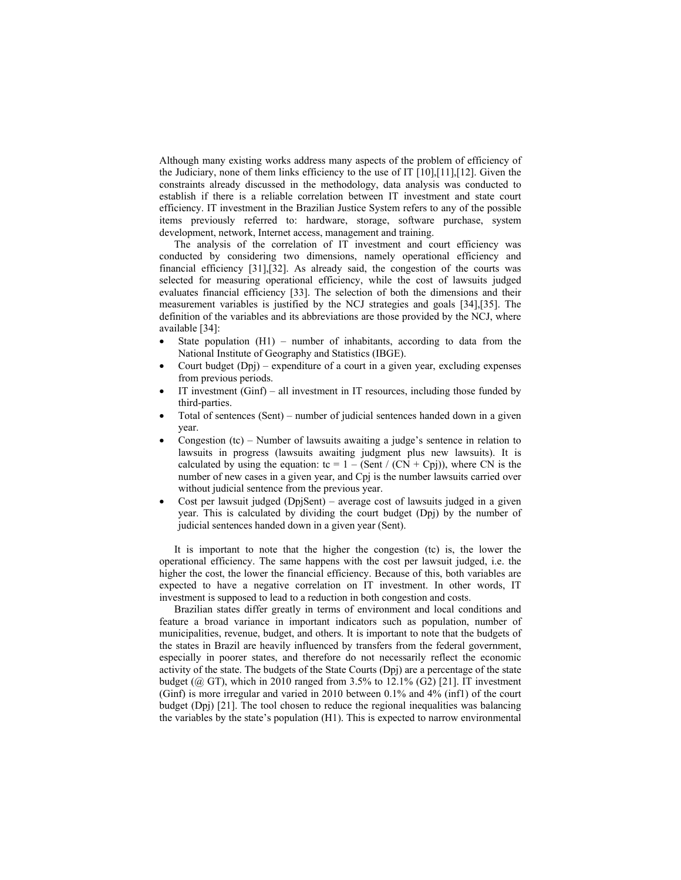Although many existing works address many aspects of the problem of efficiency of the Judiciary, none of them links efficiency to the use of IT [10],[11],[12]. Given the constraints already discussed in the methodology, data analysis was conducted to establish if there is a reliable correlation between IT investment and state court efficiency. IT investment in the Brazilian Justice System refers to any of the possible items previously referred to: hardware, storage, software purchase, system development, network, Internet access, management and training.

The analysis of the correlation of IT investment and court efficiency was conducted by considering two dimensions, namely operational efficiency and financial efficiency [31],[32]. As already said, the congestion of the courts was selected for measuring operational efficiency, while the cost of lawsuits judged evaluates financial efficiency [33]. The selection of both the dimensions and their measurement variables is justified by the NCJ strategies and goals [34],[35]. The definition of the variables and its abbreviations are those provided by the NCJ, where available [34]:

- State population (H1) number of inhabitants, according to data from the National Institute of Geography and Statistics (IBGE).
- Court budget  $(Dpi)$  expenditure of a court in a given year, excluding expenses from previous periods.
- IT investment  $(Ginf)$  all investment in IT resources, including those funded by third-parties.
- Total of sentences (Sent) number of judicial sentences handed down in a given year.
- Congestion (tc) Number of lawsuits awaiting a judge's sentence in relation to lawsuits in progress (lawsuits awaiting judgment plus new lawsuits). It is calculated by using the equation: tc =  $1 - (Sent / (CN + Cpj))$ , where CN is the number of new cases in a given year, and Cpj is the number lawsuits carried over without judicial sentence from the previous year.
- Cost per lawsuit judged (DpjSent) average cost of lawsuits judged in a given year. This is calculated by dividing the court budget (Dpj) by the number of judicial sentences handed down in a given year (Sent).

It is important to note that the higher the congestion (tc) is, the lower the operational efficiency. The same happens with the cost per lawsuit judged, i.e. the higher the cost, the lower the financial efficiency. Because of this, both variables are expected to have a negative correlation on IT investment. In other words, IT investment is supposed to lead to a reduction in both congestion and costs.

Brazilian states differ greatly in terms of environment and local conditions and feature a broad variance in important indicators such as population, number of municipalities, revenue, budget, and others. It is important to note that the budgets of the states in Brazil are heavily influenced by transfers from the federal government, especially in poorer states, and therefore do not necessarily reflect the economic activity of the state. The budgets of the State Courts (Dpj) are a percentage of the state budget ( $@$  GT), which in 2010 ranged from 3.5% to 12.1% (G2) [21]. IT investment (Ginf) is more irregular and varied in 2010 between 0.1% and 4% (inf1) of the court budget (Dpj) [21]. The tool chosen to reduce the regional inequalities was balancing the variables by the state's population (H1). This is expected to narrow environmental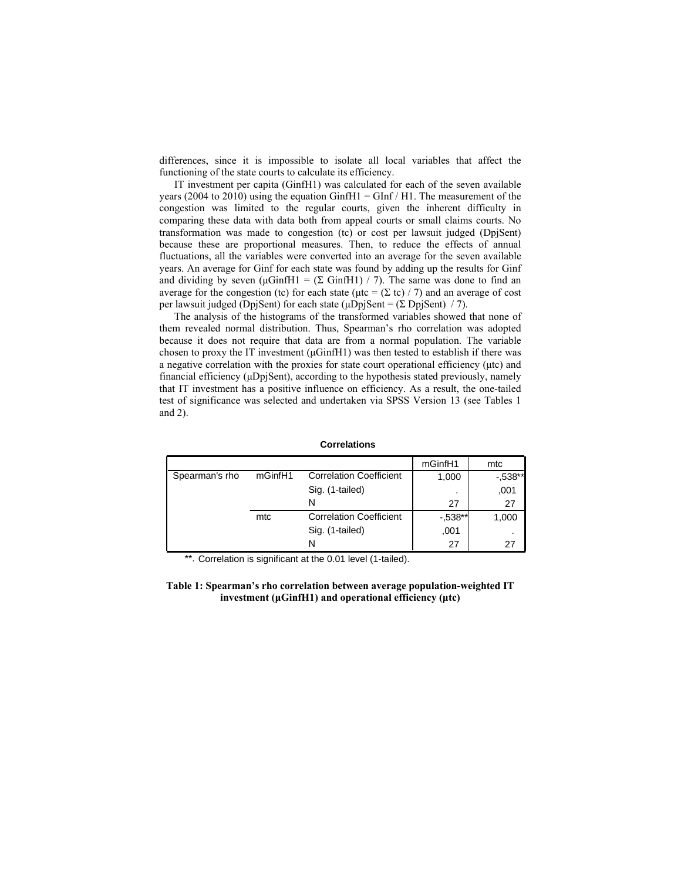differences, since it is impossible to isolate all local variables that affect the functioning of the state courts to calculate its efficiency.

IT investment per capita (GinfH1) was calculated for each of the seven available years (2004 to 2010) using the equation GinfH1 = GInf / H1. The measurement of the congestion was limited to the regular courts, given the inherent difficulty in comparing these data with data both from appeal courts or small claims courts. No transformation was made to congestion (tc) or cost per lawsuit judged (DpjSent) because these are proportional measures. Then, to reduce the effects of annual fluctuations, all the variables were converted into an average for the seven available years. An average for Ginf for each state was found by adding up the results for Ginf and dividing by seven ( $\mu$ GinfH1 = ( $\Sigma$  GinfH1) / 7). The same was done to find an average for the congestion (tc) for each state (μtc =  $(\Sigma \text{tc})$  / 7) and an average of cost per lawsuit judged (DpjSent) for each state ( $\mu$ DpjSent = (Σ DpjSent) / 7).

The analysis of the histograms of the transformed variables showed that none of them revealed normal distribution. Thus, Spearman's rho correlation was adopted because it does not require that data are from a normal population. The variable chosen to proxy the IT investment (μGinfH1) was then tested to establish if there was a negative correlation with the proxies for state court operational efficiency (μtc) and financial efficiency (μDpjSent), according to the hypothesis stated previously, namely that IT investment has a positive influence on efficiency. As a result, the one-tailed test of significance was selected and undertaken via SPSS Version 13 (see Tables 1 and 2).

|                |         |                                | mGinfH1    | mtc      |
|----------------|---------|--------------------------------|------------|----------|
| Spearman's rho | mGinfH1 | <b>Correlation Coefficient</b> | 1,000      | $-538**$ |
|                |         | Sig. (1-tailed)                | ٠          | ,001     |
|                |         | N                              | 27         | 27       |
|                | mtc     | <b>Correlation Coefficient</b> | $-0.538**$ | 1,000    |
|                |         | Sig. (1-tailed)                | .001       | ٠        |
|                |         | N                              | 27         | 27       |

**Correlations**

\*\*. Correlation is significant at the 0.01 level (1-tailed).

#### **Table 1: Spearman's rho correlation between average population-weighted IT investment (μGinfH1) and operational efficiency (μtc)**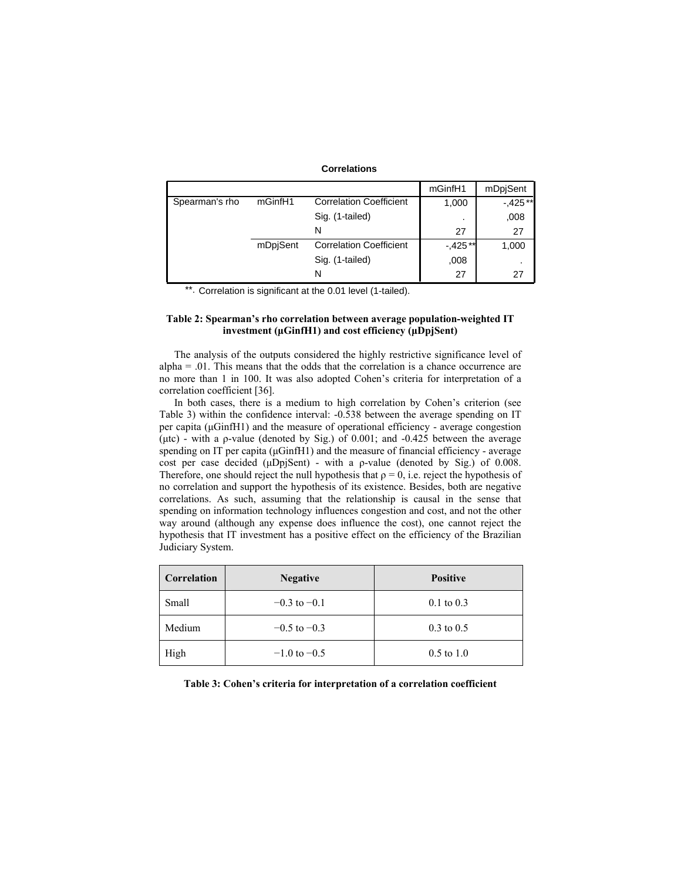|                |          |                                | mGinfH1  | mDpjSent |
|----------------|----------|--------------------------------|----------|----------|
| Spearman's rho | mGinfH1  | <b>Correlation Coefficient</b> | 1,000    | $-425**$ |
|                |          | Sig. (1-tailed)                | ٠        | .008     |
|                |          | N                              | 27       | 27       |
|                | mDpjSent | <b>Correlation Coefficient</b> | $-425**$ | 1,000    |
|                |          | Sig. (1-tailed)                | .008     |          |
|                |          | N                              | 27       | 27       |

\*\*. Correlation is significant at the 0.01 level (1-tailed).

#### **Table 2: Spearman's rho correlation between average population-weighted IT investment (μGinfH1) and cost efficiency (μDpjSent)**

The analysis of the outputs considered the highly restrictive significance level of alpha = .01. This means that the odds that the correlation is a chance occurrence are no more than 1 in 100. It was also adopted Cohen's criteria for interpretation of a correlation coefficient [36].

In both cases, there is a medium to high correlation by Cohen's criterion (see Table 3) within the confidence interval: -0.538 between the average spending on IT per capita (μGinfH1) and the measure of operational efficiency - average congestion (μtc) - with a ρ-value (denoted by Sig.) of 0.001; and -0.425 between the average spending on IT per capita (μGinfH1) and the measure of financial efficiency - average cost per case decided (μDpjSent) - with a ρ-value (denoted by Sig.) of 0.008. Therefore, one should reject the null hypothesis that  $\rho = 0$ , i.e. reject the hypothesis of no correlation and support the hypothesis of its existence. Besides, both are negative correlations. As such, assuming that the relationship is causal in the sense that spending on information technology influences congestion and cost, and not the other way around (although any expense does influence the cost), one cannot reject the hypothesis that IT investment has a positive effect on the efficiency of the Brazilian Judiciary System.

| Correlation | <b>Negative</b>  | <b>Positive</b>       |  |
|-------------|------------------|-----------------------|--|
| Small       | $-0.3$ to $-0.1$ | $0.1 \text{ to } 0.3$ |  |
| Medium      | $-0.5$ to $-0.3$ | $0.3 \text{ to } 0.5$ |  |
| High        | $-1.0$ to $-0.5$ | $0.5 \text{ to } 1.0$ |  |

**Table 3: Cohen's criteria for interpretation of a correlation coefficient**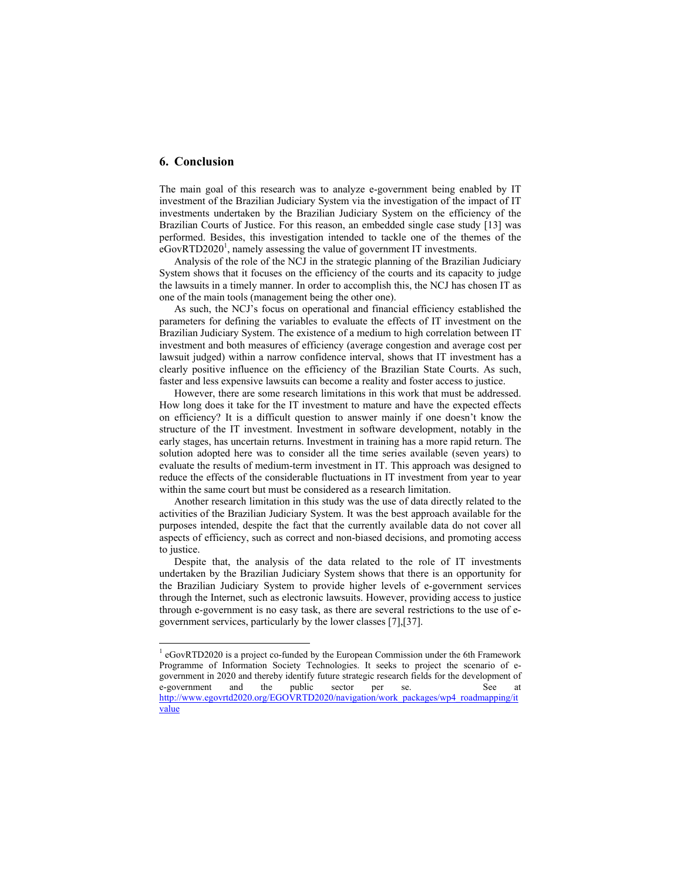## **6. Conclusion**

The main goal of this research was to analyze e-government being enabled by IT investment of the Brazilian Judiciary System via the investigation of the impact of IT investments undertaken by the Brazilian Judiciary System on the efficiency of the Brazilian Courts of Justice. For this reason, an embedded single case study [13] was performed. Besides, this investigation intended to tackle one of the themes of the  $\mathbf{e}$ GovRTD2020<sup>1</sup>, namely assessing the value of government IT investments.

Analysis of the role of the NCJ in the strategic planning of the Brazilian Judiciary System shows that it focuses on the efficiency of the courts and its capacity to judge the lawsuits in a timely manner. In order to accomplish this, the NCJ has chosen IT as one of the main tools (management being the other one).

As such, the NCJ's focus on operational and financial efficiency established the parameters for defining the variables to evaluate the effects of IT investment on the Brazilian Judiciary System. The existence of a medium to high correlation between IT investment and both measures of efficiency (average congestion and average cost per lawsuit judged) within a narrow confidence interval, shows that IT investment has a clearly positive influence on the efficiency of the Brazilian State Courts. As such, faster and less expensive lawsuits can become a reality and foster access to justice.

However, there are some research limitations in this work that must be addressed. How long does it take for the IT investment to mature and have the expected effects on efficiency? It is a difficult question to answer mainly if one doesn't know the structure of the IT investment. Investment in software development, notably in the early stages, has uncertain returns. Investment in training has a more rapid return. The solution adopted here was to consider all the time series available (seven years) to evaluate the results of medium-term investment in IT. This approach was designed to reduce the effects of the considerable fluctuations in IT investment from year to year within the same court but must be considered as a research limitation.

Another research limitation in this study was the use of data directly related to the activities of the Brazilian Judiciary System. It was the best approach available for the purposes intended, despite the fact that the currently available data do not cover all aspects of efficiency, such as correct and non-biased decisions, and promoting access to justice.

Despite that, the analysis of the data related to the role of IT investments undertaken by the Brazilian Judiciary System shows that there is an opportunity for the Brazilian Judiciary System to provide higher levels of e-government services through the Internet, such as electronic lawsuits. However, providing access to justice through e-government is no easy task, as there are several restrictions to the use of egovernment services, particularly by the lower classes [7],[37].

<sup>&</sup>lt;sup>1</sup> eGovRTD2020 is a project co-funded by the European Commission under the 6th Framework Programme of Information Society Technologies. It seeks to project the scenario of egovernment in 2020 and thereby identify future strategic research fields for the development of e-government and the public sector per se. See at e-government and the public sector per se. See at http://www.egovrtd2020.org/EGOVRTD2020/navigation/work\_packages/wp4\_roadmapping/it value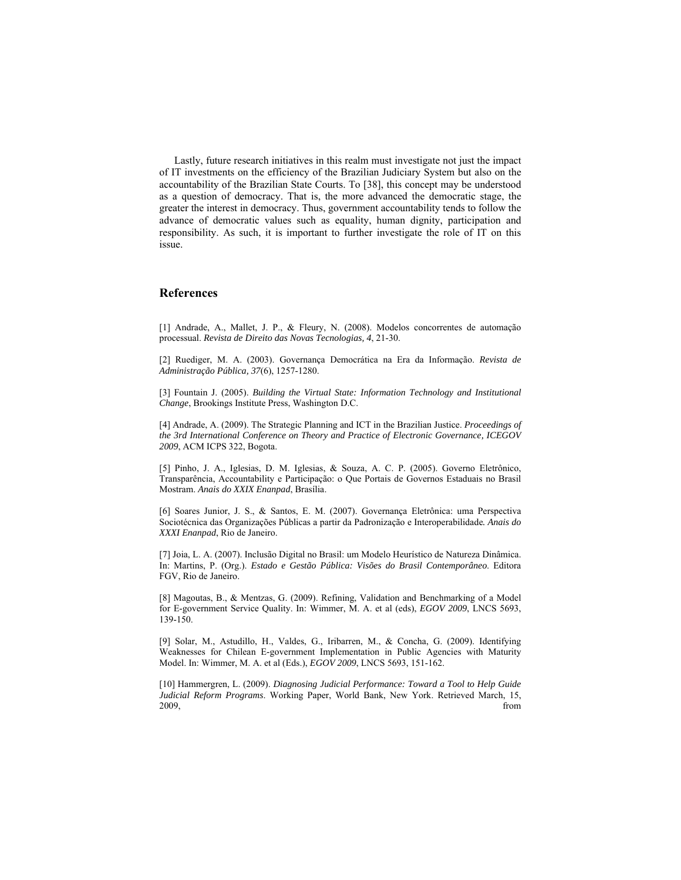Lastly, future research initiatives in this realm must investigate not just the impact of IT investments on the efficiency of the Brazilian Judiciary System but also on the accountability of the Brazilian State Courts. To [38], this concept may be understood as a question of democracy. That is, the more advanced the democratic stage, the greater the interest in democracy. Thus, government accountability tends to follow the advance of democratic values such as equality, human dignity, participation and responsibility. As such, it is important to further investigate the role of IT on this issue.

## **References**

[1] Andrade, A., Mallet, J. P., & Fleury, N. (2008). Modelos concorrentes de automação processual. *Revista de Direito das Novas Tecnologias, 4*, 21-30.

[2] Ruediger, M. A. (2003). Governança Democrática na Era da Informação. *Revista de Administração Pública, 37*(6), 1257-1280.

[3] Fountain J. (2005). *Building the Virtual State: Information Technology and Institutional Change*, Brookings Institute Press, Washington D.C.

[4] Andrade, A. (2009). The Strategic Planning and ICT in the Brazilian Justice. *Proceedings of the 3rd International Conference on Theory and Practice of Electronic Governance, ICEGOV 2009*, ACM ICPS 322, Bogota.

[5] Pinho, J. A., Iglesias, D. M. Iglesias, & Souza, A. C. P. (2005). Governo Eletrônico, Transparência, Accountability e Participação: o Que Portais de Governos Estaduais no Brasil Mostram. *Anais do XXIX Enanpad*, Brasília.

[6] Soares Junior, J. S., & Santos, E. M. (2007). Governança Eletrônica: uma Perspectiva Sociotécnica das Organizações Públicas a partir da Padronização e Interoperabilidade*. Anais do XXXI Enanpad*, Rio de Janeiro.

[7] Joia, L. A. (2007). Inclusão Digital no Brasil: um Modelo Heurístico de Natureza Dinâmica. In: Martins, P. (Org.). *Estado e Gestão Pública: Visões do Brasil Contemporâneo*. Editora FGV, Rio de Janeiro.

[8] Magoutas, B., & Mentzas, G. (2009). Refining, Validation and Benchmarking of a Model for E-government Service Quality. In: Wimmer, M. A. et al (eds), *EGOV 2009*, LNCS 5693, 139-150.

[9] Solar, M., Astudillo, H., Valdes, G., Iribarren, M., & Concha, G. (2009). Identifying Weaknesses for Chilean E-government Implementation in Public Agencies with Maturity Model. In: Wimmer, M. A. et al (Eds.), *EGOV 2009*, LNCS 5693, 151-162.

[10] Hammergren, L. (2009). *Diagnosing Judicial Performance: Toward a Tool to Help Guide Judicial Reform Programs*. Working Paper, World Bank, New York. Retrieved March, 15, 2009, from the contract of the contract of the contract of the contract of the contract of the contract of the contract of the contract of the contract of the contract of the contract of the contract of the contract of the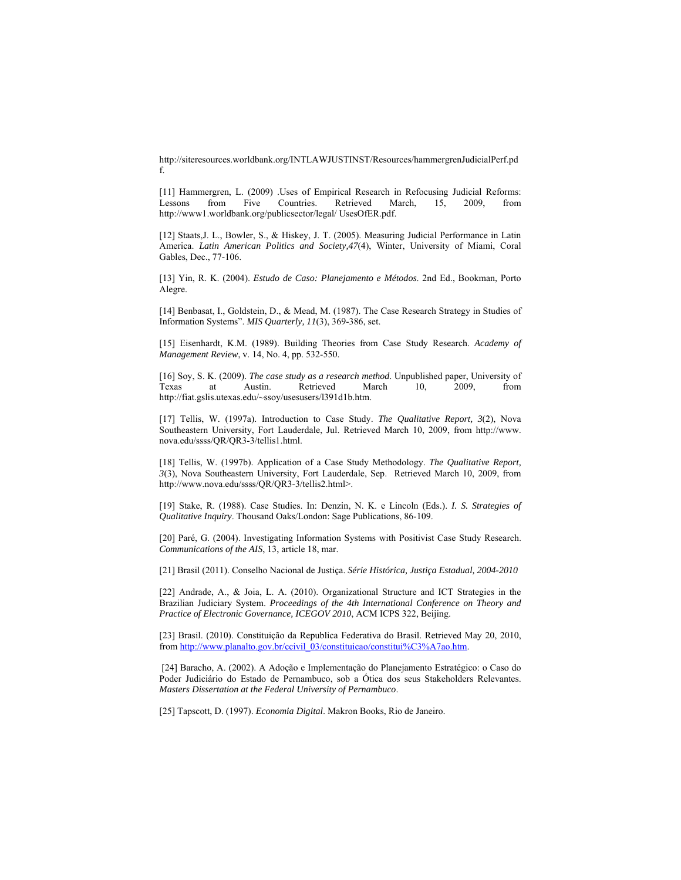http://siteresources.worldbank.org/INTLAWJUSTINST/Resources/hammergrenJudicialPerf.pd f.

[11] Hammergren, L. (2009) .Uses of Empirical Research in Refocusing Judicial Reforms: Lessons from Five Countries. Retrieved March, 15, 2009, from http://www1.worldbank.org/publicsector/legal/ UsesOfER.pdf.

[12] Staats,J. L., Bowler, S., & Hiskey, J. T. (2005). Measuring Judicial Performance in Latin America. *Latin American Politics and Society,47*(4), Winter, University of Miami, Coral Gables, Dec., 77-106.

[13] Yin, R. K. (2004). *Estudo de Caso: Planejamento e Métodos*. 2nd Ed., Bookman, Porto Alegre.

[14] Benbasat, I., Goldstein, D., & Mead, M. (1987). The Case Research Strategy in Studies of Information Systems". *MIS Quarterly, 11*(3), 369-386, set.

[15] Eisenhardt, K.M. (1989). Building Theories from Case Study Research. *Academy of Management Review*, v. 14, No. 4, pp. 532-550.

[16] Soy, S. K. (2009). *The case study as a research method*. Unpublished paper, University of Texas at Austin. Retrieved March 10, 2009, from http://fiat.gslis.utexas.edu/~ssoy/usesusers/l391d1b.htm.

[17] Tellis, W. (1997a). Introduction to Case Study. *The Qualitative Report, 3*(2), Nova Southeastern University, Fort Lauderdale, Jul. Retrieved March 10, 2009, from http://www. nova.edu/ssss/QR/QR3-3/tellis1.html.

[18] Tellis, W. (1997b). Application of a Case Study Methodology. *The Qualitative Report, 3*(3), Nova Southeastern University, Fort Lauderdale, Sep. Retrieved March 10, 2009, from http://www.nova.edu/ssss/QR/QR3-3/tellis2.html>.

[19] Stake, R. (1988). Case Studies. In: Denzin, N. K. e Lincoln (Eds.). *I. S. Strategies of Qualitative Inquiry*. Thousand Oaks/London: Sage Publications, 86-109.

[20] Paré, G. (2004). Investigating Information Systems with Positivist Case Study Research. *Communications of the AIS*, 13, article 18, mar.

[21] Brasil (2011). Conselho Nacional de Justiça. *Série Histórica, Justiça Estadual, 2004-2010*

[22] Andrade, A., & Joia, L. A. (2010). Organizational Structure and ICT Strategies in the Brazilian Judiciary System. *Proceedings of the 4th International Conference on Theory and Practice of Electronic Governance, ICEGOV 2010*, ACM ICPS 322, Beijing.

[23] Brasil. (2010). Constituição da Republica Federativa do Brasil. Retrieved May 20, 2010, from http://www.planalto.gov.br/ccivil\_03/constituicao/constitui%C3%A7ao.htm.

 [24] Baracho, A. (2002). A Adoção e Implementação do Planejamento Estratégico: o Caso do Poder Judiciário do Estado de Pernambuco, sob a Ótica dos seus Stakeholders Relevantes. *Masters Dissertation at the Federal University of Pernambuco*.

[25] Tapscott, D. (1997). *Economia Digital*. Makron Books, Rio de Janeiro.